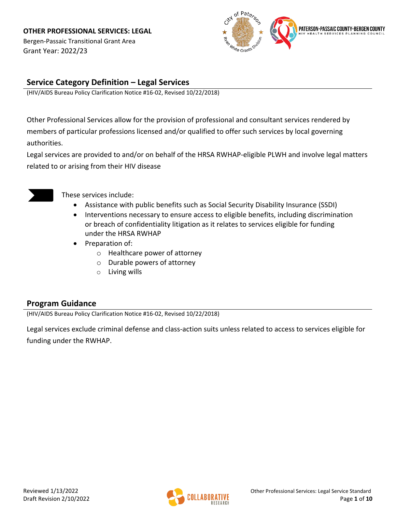Bergen-Passaic Transitional Grant Area Grant Year: 2022/23



## **Service Category Definition – Legal Services**

(HIV/AIDS Bureau Policy Clarification Notice #16-02, Revised 10/22/2018)

Other Professional Services allow for the provision of professional and consultant services rendered by members of particular professions licensed and/or qualified to offer such services by local governing authorities.

Legal services are provided to and/or on behalf of the HRSA RWHAP-eligible PLWH and involve legal matters related to or arising from their HIV disease



These services include:

- Assistance with public benefits such as Social Security Disability Insurance (SSDI)
- Interventions necessary to ensure access to eligible benefits, including discrimination or breach of confidentiality litigation as it relates to services eligible for funding under the HRSA RWHAP
- Preparation of:
	- o Healthcare power of attorney
	- o Durable powers of attorney
	- o Living wills

### **Program Guidance**

(HIV/AIDS Bureau Policy Clarification Notice #16-02, Revised 10/22/2018)

Legal services exclude criminal defense and class-action suits unless related to access to services eligible for funding under the RWHAP.

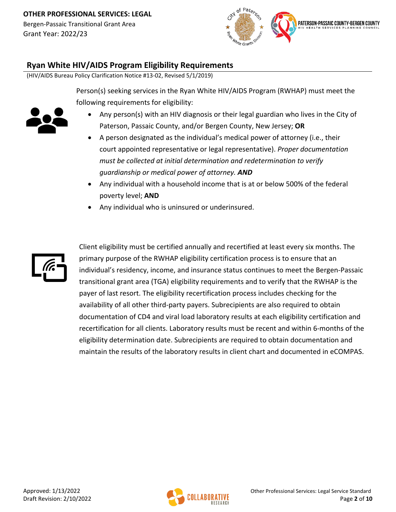Bergen-Passaic Transitional Grant Area Grant Year: 2022/23



### **Ryan White HIV/AIDS Program Eligibility Requirements**

(HIV/AIDS Bureau Policy Clarification Notice #13-02, Revised 5/1/2019)

Person(s) seeking services in the Ryan White HIV/AIDS Program (RWHAP) must meet the following requirements for eligibility:



- Any person(s) with an HIV diagnosis or their legal guardian who lives in the City of Paterson, Passaic County, and/or Bergen County, New Jersey; **OR**
- A person designated as the individual's medical power of attorney (i.e., their court appointed representative or legal representative). *Proper documentation must be collected at initial determination and redetermination to verify guardianship or medical power of attorney. AND*
- Any individual with a household income that is at or below 500% of the federal poverty level; **AND**
- Any individual who is uninsured or underinsured.



Client eligibility must be certified annually and recertified at least every six months. The primary purpose of the RWHAP eligibility certification process is to ensure that an individual's residency, income, and insurance status continues to meet the Bergen-Passaic transitional grant area (TGA) eligibility requirements and to verify that the RWHAP is the payer of last resort. The eligibility recertification process includes checking for the availability of all other third-party payers. Subrecipients are also required to obtain documentation of CD4 and viral load laboratory results at each eligibility certification and recertification for all clients. Laboratory results must be recent and within 6-months of the eligibility determination date. Subrecipients are required to obtain documentation and maintain the results of the laboratory results in client chart and documented in eCOMPAS.

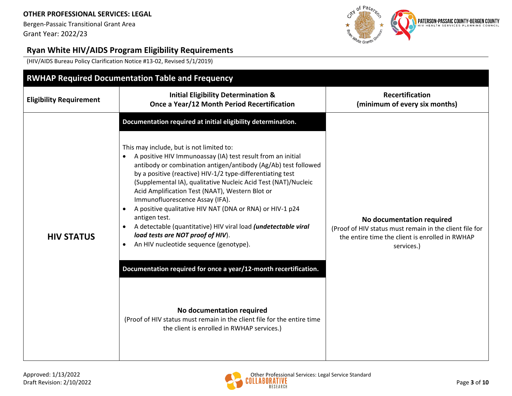Bergen-Passaic Transitional Grant Area Grant Year: 2022/23



## **Ryan White HIV/AIDS Program Eligibility Requirements**

(HIV/AIDS Bureau Policy Clarification Notice #13-02, Revised 5/1/2019)

| <b>RWHAP Required Documentation Table and Frequency</b> |                                                                                                                                                                                                                                                                                                                                                                                                                                                                                                                                                                                                                                                                                                                                                                                                                                                                                                                                                                |                                                                                                                                                       |  |  |
|---------------------------------------------------------|----------------------------------------------------------------------------------------------------------------------------------------------------------------------------------------------------------------------------------------------------------------------------------------------------------------------------------------------------------------------------------------------------------------------------------------------------------------------------------------------------------------------------------------------------------------------------------------------------------------------------------------------------------------------------------------------------------------------------------------------------------------------------------------------------------------------------------------------------------------------------------------------------------------------------------------------------------------|-------------------------------------------------------------------------------------------------------------------------------------------------------|--|--|
| <b>Eligibility Requirement</b>                          | <b>Initial Eligibility Determination &amp;</b><br>Once a Year/12 Month Period Recertification                                                                                                                                                                                                                                                                                                                                                                                                                                                                                                                                                                                                                                                                                                                                                                                                                                                                  | <b>Recertification</b><br>(minimum of every six months)                                                                                               |  |  |
| <b>HIV STATUS</b>                                       | Documentation required at initial eligibility determination.<br>This may include, but is not limited to:<br>A positive HIV Immunoassay (IA) test result from an initial<br>antibody or combination antigen/antibody (Ag/Ab) test followed<br>by a positive (reactive) HIV-1/2 type-differentiating test<br>(Supplemental IA), qualitative Nucleic Acid Test (NAT)/Nucleic<br>Acid Amplification Test (NAAT), Western Blot or<br>Immunofluorescence Assay (IFA).<br>A positive qualitative HIV NAT (DNA or RNA) or HIV-1 p24<br>$\bullet$<br>antigen test.<br>A detectable (quantitative) HIV viral load (undetectable viral<br>$\bullet$<br>load tests are NOT proof of HIV).<br>An HIV nucleotide sequence (genotype).<br>$\bullet$<br>Documentation required for once a year/12-month recertification.<br>No documentation required<br>(Proof of HIV status must remain in the client file for the entire time<br>the client is enrolled in RWHAP services.) | No documentation required<br>(Proof of HIV status must remain in the client file for<br>the entire time the client is enrolled in RWHAP<br>services.) |  |  |

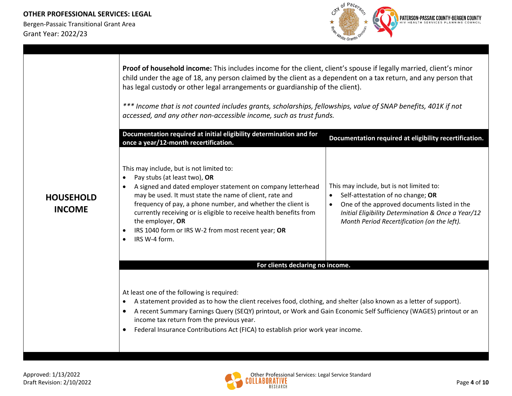

|                                   | Proof of household income: This includes income for the client, client's spouse if legally married, client's minor<br>child under the age of 18, any person claimed by the client as a dependent on a tax return, and any person that<br>has legal custody or other legal arrangements or guardianship of the client).<br>*** Income that is not counted includes grants, scholarships, fellowships, value of SNAP benefits, 401K if not<br>accessed, and any other non-accessible income, such as trust funds.<br>Documentation required at initial eligibility determination and for<br>Documentation required at eligibility recertification.<br>once a year/12-month recertification. |                                                                                                                                                                                                                                   |  |  |
|-----------------------------------|-------------------------------------------------------------------------------------------------------------------------------------------------------------------------------------------------------------------------------------------------------------------------------------------------------------------------------------------------------------------------------------------------------------------------------------------------------------------------------------------------------------------------------------------------------------------------------------------------------------------------------------------------------------------------------------------|-----------------------------------------------------------------------------------------------------------------------------------------------------------------------------------------------------------------------------------|--|--|
| <b>HOUSEHOLD</b><br><b>INCOME</b> | This may include, but is not limited to:<br>Pay stubs (at least two), OR<br>$\bullet$<br>A signed and dated employer statement on company letterhead<br>$\bullet$<br>may be used. It must state the name of client, rate and<br>frequency of pay, a phone number, and whether the client is<br>currently receiving or is eligible to receive health benefits from<br>the employer, OR<br>IRS 1040 form or IRS W-2 from most recent year; OR<br>$\bullet$<br>IRS W-4 form.<br>$\bullet$                                                                                                                                                                                                    | This may include, but is not limited to:<br>Self-attestation of no change; OR<br>One of the approved documents listed in the<br>Initial Eligibility Determination & Once a Year/12<br>Month Period Recertification (on the left). |  |  |
|                                   | For clients declaring no income.                                                                                                                                                                                                                                                                                                                                                                                                                                                                                                                                                                                                                                                          |                                                                                                                                                                                                                                   |  |  |
|                                   | At least one of the following is required:<br>A statement provided as to how the client receives food, clothing, and shelter (also known as a letter of support).<br>$\bullet$<br>A recent Summary Earnings Query (SEQY) printout, or Work and Gain Economic Self Sufficiency (WAGES) printout or an<br>$\bullet$<br>income tax return from the previous year.<br>Federal Insurance Contributions Act (FICA) to establish prior work year income.                                                                                                                                                                                                                                         |                                                                                                                                                                                                                                   |  |  |

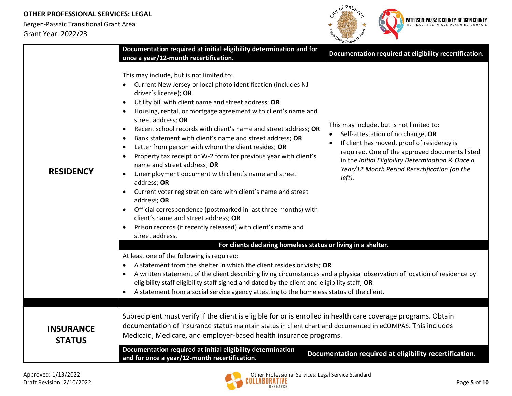

|                                   | Documentation required at initial eligibility determination and for<br>once a year/12-month recertification.                                                                                                                                                                                                                                                                                                                                                                                                                                                                                                                                                                                                                                                                                                                                                                                                                                                                                                                                                                                           | Documentation required at eligibility recertification.                                                                                                                                                                                                                                       |  |  |
|-----------------------------------|--------------------------------------------------------------------------------------------------------------------------------------------------------------------------------------------------------------------------------------------------------------------------------------------------------------------------------------------------------------------------------------------------------------------------------------------------------------------------------------------------------------------------------------------------------------------------------------------------------------------------------------------------------------------------------------------------------------------------------------------------------------------------------------------------------------------------------------------------------------------------------------------------------------------------------------------------------------------------------------------------------------------------------------------------------------------------------------------------------|----------------------------------------------------------------------------------------------------------------------------------------------------------------------------------------------------------------------------------------------------------------------------------------------|--|--|
| <b>RESIDENCY</b>                  | This may include, but is not limited to:<br>Current New Jersey or local photo identification (includes NJ<br>$\bullet$<br>driver's license); OR<br>Utility bill with client name and street address; OR<br>$\bullet$<br>Housing, rental, or mortgage agreement with client's name and<br>street address; OR<br>Recent school records with client's name and street address; OR<br>$\bullet$<br>Bank statement with client's name and street address; OR<br>$\bullet$<br>Letter from person with whom the client resides; OR<br>$\bullet$<br>Property tax receipt or W-2 form for previous year with client's<br>$\bullet$<br>name and street address; OR<br>Unemployment document with client's name and street<br>$\bullet$<br>address; OR<br>Current voter registration card with client's name and street<br>address; OR<br>Official correspondence (postmarked in last three months) with<br>client's name and street address; OR<br>Prison records (if recently released) with client's name and<br>$\bullet$<br>street address.<br>For clients declaring homeless status or living in a shelter. | This may include, but is not limited to:<br>Self-attestation of no change, OR<br>If client has moved, proof of residency is<br>required. One of the approved documents listed<br>in the Initial Eligibility Determination & Once a<br>Year/12 Month Period Recertification (on the<br>left). |  |  |
|                                   | At least one of the following is required:<br>A statement from the shelter in which the client resides or visits; OR<br>$\bullet$<br>A written statement of the client describing living circumstances and a physical observation of location of residence by<br>$\bullet$<br>eligibility staff eligibility staff signed and dated by the client and eligibility staff; OR<br>A statement from a social service agency attesting to the homeless status of the client.<br>$\bullet$                                                                                                                                                                                                                                                                                                                                                                                                                                                                                                                                                                                                                    |                                                                                                                                                                                                                                                                                              |  |  |
| <b>INSURANCE</b><br><b>STATUS</b> | Subrecipient must verify if the client is eligible for or is enrolled in health care coverage programs. Obtain<br>documentation of insurance status maintain status in client chart and documented in eCOMPAS. This includes<br>Medicaid, Medicare, and employer-based health insurance programs.                                                                                                                                                                                                                                                                                                                                                                                                                                                                                                                                                                                                                                                                                                                                                                                                      |                                                                                                                                                                                                                                                                                              |  |  |
|                                   | Documentation required at initial eligibility determination<br>and for once a year/12-month recertification.                                                                                                                                                                                                                                                                                                                                                                                                                                                                                                                                                                                                                                                                                                                                                                                                                                                                                                                                                                                           | Documentation required at eligibility recertification.                                                                                                                                                                                                                                       |  |  |

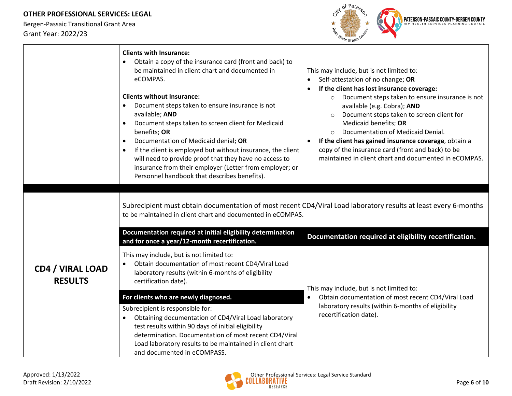

|                                           | <b>Clients with Insurance:</b><br>Obtain a copy of the insurance card (front and back) to<br>$\bullet$<br>be maintained in client chart and documented in<br>eCOMPAS.<br><b>Clients without Insurance:</b><br>Document steps taken to ensure insurance is not<br>available; AND<br>Document steps taken to screen client for Medicaid<br>benefits; OR<br>Documentation of Medicaid denial; OR<br>$\bullet$<br>If the client is employed but without insurance, the client<br>will need to provide proof that they have no access to<br>insurance from their employer (Letter from employer; or<br>Personnel handbook that describes benefits). | This may include, but is not limited to:<br>Self-attestation of no change; OR<br>$\bullet$<br>If the client has lost insurance coverage:<br>$\bullet$<br>Document steps taken to ensure insurance is not<br>$\circ$<br>available (e.g. Cobra); AND<br>Document steps taken to screen client for<br>Medicaid benefits; OR<br>Documentation of Medicaid Denial.<br>If the client has gained insurance coverage, obtain a<br>copy of the insurance card (front and back) to be<br>maintained in client chart and documented in eCOMPAS. |  |  |
|-------------------------------------------|------------------------------------------------------------------------------------------------------------------------------------------------------------------------------------------------------------------------------------------------------------------------------------------------------------------------------------------------------------------------------------------------------------------------------------------------------------------------------------------------------------------------------------------------------------------------------------------------------------------------------------------------|--------------------------------------------------------------------------------------------------------------------------------------------------------------------------------------------------------------------------------------------------------------------------------------------------------------------------------------------------------------------------------------------------------------------------------------------------------------------------------------------------------------------------------------|--|--|
|                                           | Subrecipient must obtain documentation of most recent CD4/Viral Load laboratory results at least every 6-months<br>to be maintained in client chart and documented in eCOMPAS.<br>Documentation required at initial eligibility determination<br>Documentation required at eligibility recertification.<br>and for once a year/12-month recertification.                                                                                                                                                                                                                                                                                       |                                                                                                                                                                                                                                                                                                                                                                                                                                                                                                                                      |  |  |
| <b>CD4 / VIRAL LOAD</b><br><b>RESULTS</b> | This may include, but is not limited to:<br>Obtain documentation of most recent CD4/Viral Load<br>laboratory results (within 6-months of eligibility<br>certification date).                                                                                                                                                                                                                                                                                                                                                                                                                                                                   | This may include, but is not limited to:                                                                                                                                                                                                                                                                                                                                                                                                                                                                                             |  |  |
|                                           | For clients who are newly diagnosed.<br>Subrecipient is responsible for:<br>Obtaining documentation of CD4/Viral Load laboratory<br>$\bullet$<br>test results within 90 days of initial eligibility<br>determination. Documentation of most recent CD4/Viral<br>Load laboratory results to be maintained in client chart<br>and documented in eCOMPASS.                                                                                                                                                                                                                                                                                        | Obtain documentation of most recent CD4/Viral Load<br>$\bullet$<br>laboratory results (within 6-months of eligibility<br>recertification date).                                                                                                                                                                                                                                                                                                                                                                                      |  |  |

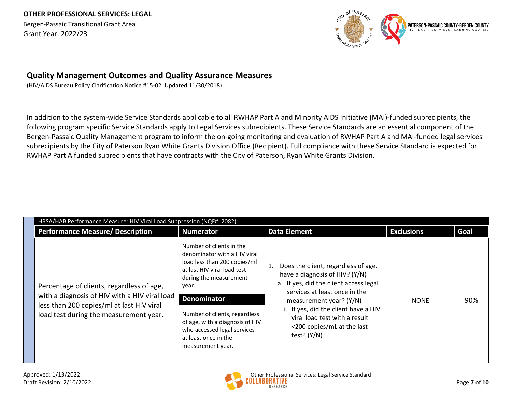Bergen-Passaic Transitional Grant Area Grant Year: 2022/23



### **Quality Management Outcomes and Quality Assurance Measures**

(HIV/AIDS Bureau Policy Clarification Notice #15-02, Updated 11/30/2018)

In addition to the system-wide Service Standards applicable to all RWHAP Part A and Minority AIDS Initiative (MAI)-funded subrecipients, the following program specific Service Standards apply to Legal Services subrecipients. These Service Standards are an essential component of the Bergen-Passaic Quality Management program to inform the on-going monitoring and evaluation of RWHAP Part A and MAI-funded legal services subrecipients by the City of Paterson Ryan White Grants Division Office (Recipient). Full compliance with these Service Standard is expected for RWHAP Part A funded subrecipients that have contracts with the City of Paterson, Ryan White Grants Division.

| Performance Measure/ Description                                                                                                                                                  | <b>Numerator</b>                                                                                                                                                                                                                                                                                                                 | <b>Data Element</b>                                                                                                                                                                                                                                                                                 | <b>Exclusions</b> | Goal |
|-----------------------------------------------------------------------------------------------------------------------------------------------------------------------------------|----------------------------------------------------------------------------------------------------------------------------------------------------------------------------------------------------------------------------------------------------------------------------------------------------------------------------------|-----------------------------------------------------------------------------------------------------------------------------------------------------------------------------------------------------------------------------------------------------------------------------------------------------|-------------------|------|
| Percentage of clients, regardless of age,<br>with a diagnosis of HIV with a HIV viral load<br>less than 200 copies/ml at last HIV viral<br>load test during the measurement year. | Number of clients in the<br>denominator with a HIV viral<br>load less than 200 copies/ml<br>at last HIV viral load test<br>during the measurement<br>year.<br><b>Denominator</b><br>Number of clients, regardless<br>of age, with a diagnosis of HIV<br>who accessed legal services<br>at least once in the<br>measurement year. | Does the client, regardless of age,<br>have a diagnosis of HIV? (Y/N)<br>a. If yes, did the client access legal<br>services at least once in the<br>measurement year? (Y/N)<br>i. If yes, did the client have a HIV<br>viral load test with a result<br><200 copies/mL at the last<br>test? $(Y/N)$ | <b>NONE</b>       | 90%  |

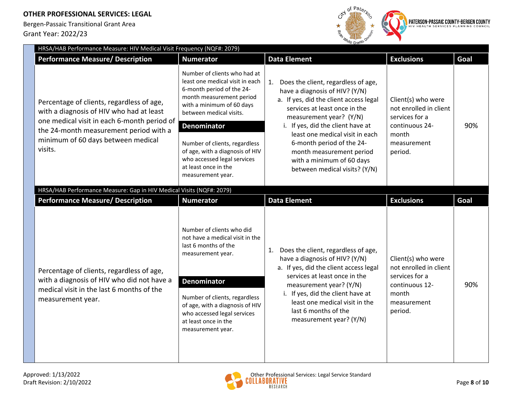

| HRSA/HAB Performance Measure: HIV Medical Visit Frequency (NQF#: 2079)                                                                                                                                                          |                                                                                                                                                                                                                                                                                                                                                        |                                                                                                                                                                                                                                                                                                                                                                               |                                                                                                                     |      |  |  |
|---------------------------------------------------------------------------------------------------------------------------------------------------------------------------------------------------------------------------------|--------------------------------------------------------------------------------------------------------------------------------------------------------------------------------------------------------------------------------------------------------------------------------------------------------------------------------------------------------|-------------------------------------------------------------------------------------------------------------------------------------------------------------------------------------------------------------------------------------------------------------------------------------------------------------------------------------------------------------------------------|---------------------------------------------------------------------------------------------------------------------|------|--|--|
| <b>Performance Measure/ Description</b>                                                                                                                                                                                         | <b>Numerator</b>                                                                                                                                                                                                                                                                                                                                       | <b>Data Element</b>                                                                                                                                                                                                                                                                                                                                                           | <b>Exclusions</b>                                                                                                   | Goal |  |  |
| Percentage of clients, regardless of age,<br>with a diagnosis of HIV who had at least<br>one medical visit in each 6-month period of<br>the 24-month measurement period with a<br>minimum of 60 days between medical<br>visits. | Number of clients who had at<br>least one medical visit in each<br>6-month period of the 24-<br>month measurement period<br>with a minimum of 60 days<br>between medical visits.<br><b>Denominator</b><br>Number of clients, regardless<br>of age, with a diagnosis of HIV<br>who accessed legal services<br>at least once in the<br>measurement year. | 1. Does the client, regardless of age,<br>have a diagnosis of HIV? (Y/N)<br>a. If yes, did the client access legal<br>services at least once in the<br>measurement year? (Y/N)<br>i. If yes, did the client have at<br>least one medical visit in each<br>6-month period of the 24-<br>month measurement period<br>with a minimum of 60 days<br>between medical visits? (Y/N) | Client(s) who were<br>not enrolled in client<br>services for a<br>continuous 24-<br>month<br>measurement<br>period. | 90%  |  |  |
| HRSA/HAB Performance Measure: Gap in HIV Medical Visits (NQF#: 2079)                                                                                                                                                            |                                                                                                                                                                                                                                                                                                                                                        |                                                                                                                                                                                                                                                                                                                                                                               |                                                                                                                     |      |  |  |
| <b>Performance Measure/ Description</b>                                                                                                                                                                                         | <b>Numerator</b>                                                                                                                                                                                                                                                                                                                                       | <b>Data Element</b>                                                                                                                                                                                                                                                                                                                                                           | <b>Exclusions</b>                                                                                                   | Goal |  |  |
| Percentage of clients, regardless of age,<br>with a diagnosis of HIV who did not have a<br>medical visit in the last 6 months of the<br>measurement year.                                                                       | Number of clients who did<br>not have a medical visit in the<br>last 6 months of the<br>measurement year.<br><b>Denominator</b><br>Number of clients, regardless<br>of age, with a diagnosis of HIV<br>who accessed legal services<br>at least once in the<br>measurement year.                                                                        | Does the client, regardless of age,<br>1.<br>have a diagnosis of HIV? (Y/N)<br>a. If yes, did the client access legal<br>services at least once in the<br>measurement year? (Y/N)<br>i. If yes, did the client have at<br>least one medical visit in the<br>last 6 months of the<br>measurement year? (Y/N)                                                                   | Client(s) who were<br>not enrolled in client<br>services for a<br>continuous 12-<br>month<br>measurement<br>period. | 90%  |  |  |

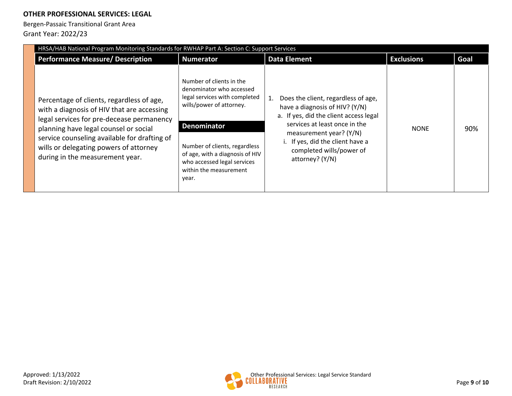| HRSA/HAB National Program Monitoring Standards for RWHAP Part A: Section C: Support Services                                                                                                                                                                                                               |                                                                                                                                                                                                                                                                               |                                                                                                                                                                                                                                                                |                   |      |  |
|------------------------------------------------------------------------------------------------------------------------------------------------------------------------------------------------------------------------------------------------------------------------------------------------------------|-------------------------------------------------------------------------------------------------------------------------------------------------------------------------------------------------------------------------------------------------------------------------------|----------------------------------------------------------------------------------------------------------------------------------------------------------------------------------------------------------------------------------------------------------------|-------------------|------|--|
| <b>Performance Measure/ Description</b>                                                                                                                                                                                                                                                                    | <b>Numerator</b>                                                                                                                                                                                                                                                              | <b>Data Element</b>                                                                                                                                                                                                                                            | <b>Exclusions</b> | Goal |  |
| Percentage of clients, regardless of age,<br>with a diagnosis of HIV that are accessing<br>legal services for pre-decease permanency<br>planning have legal counsel or social<br>service counseling available for drafting of<br>wills or delegating powers of attorney<br>during in the measurement year. | Number of clients in the<br>denominator who accessed<br>legal services with completed<br>wills/power of attorney.<br><b>Denominator</b><br>Number of clients, regardless<br>of age, with a diagnosis of HIV<br>who accessed legal services<br>within the measurement<br>year. | Does the client, regardless of age,<br>have a diagnosis of HIV? (Y/N)<br>a. If yes, did the client access legal<br>services at least once in the<br>measurement year? (Y/N)<br>i. If yes, did the client have a<br>completed wills/power of<br>attorney? (Y/N) | <b>NONE</b>       | 90%  |  |